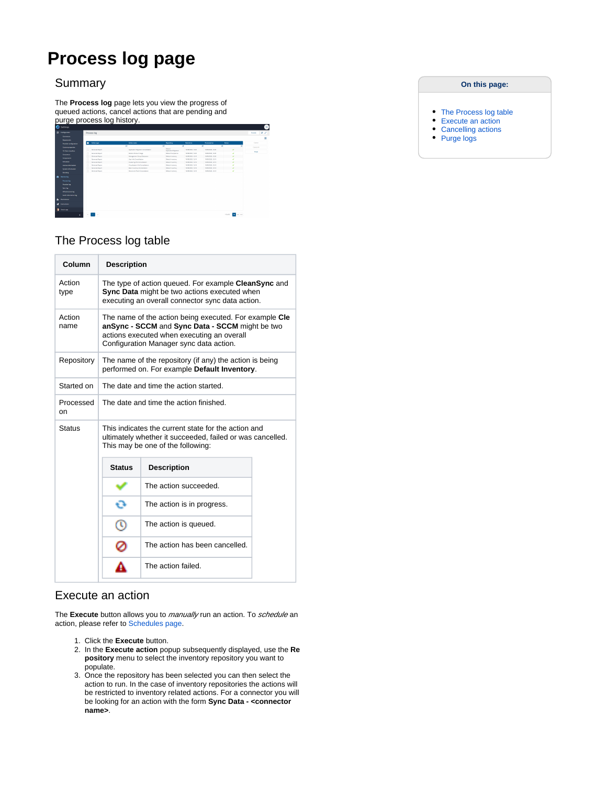# **Process log page**

### **Summary**

The **Process log** page lets you view the progress of queued actions, cancel actions that are pending and purge process log history.

| ൈ         | Settings                                                                                                |   |                         |   |                                       |                |                                 |          |                       |                     |                |                          |               | <b>SE</b> |
|-----------|---------------------------------------------------------------------------------------------------------|---|-------------------------|---|---------------------------------------|----------------|---------------------------------|----------|-----------------------|---------------------|----------------|--------------------------|---------------|-----------|
|           | E Congosco                                                                                              |   | Process log             |   |                                       |                |                                 |          |                       |                     |                |                          | <b>EUROPE</b> | $B - C$   |
|           | Connection                                                                                              |   |                         |   |                                       |                |                                 |          |                       |                     |                |                          |               | н         |
|           | <b>Representes</b>                                                                                      |   |                         |   |                                       |                |                                 |          |                       |                     |                |                          |               |           |
|           | Provider configuration                                                                                  | п | Action type             |   | <b>Active same</b>                    |                | <b><i><u>Report on</u></i></b>  |          | <b>Started on</b>     | <b>Processed on</b> | <b>Surface</b> |                          | Concel        |           |
|           | Селон опрегио                                                                                           |   |                         | m |                                       | $\overline{1}$ |                                 | <b>W</b> |                       | $\overline{u}$      | π              | m                        | Cancel At     |           |
|           | <b>If Garrisonders</b>                                                                                  |   | <b>Constant Report</b>  |   | Application Managine Consolidation    |                | brive.<br>Application Migration |          | 10/06/2020 12:20      | 10109-0020.12-00    |                | $\overline{\phantom{a}}$ | Purge         |           |
|           | Consumers                                                                                               |   | <b>Constant Second</b>  |   | <b>Becker Product Users</b>           |                | <b>Delaya Constance</b>         |          | <b>HARRY TABLE</b>    | 10109-0020.12-00    |                | ÷                        |               |           |
|           | Components                                                                                              |   | Ceremiste Report        |   | Management Group Enthanton            |                | Default Important               |          | 10/20/2020 12:19      | 101092003.1220      |                | ÷                        |               |           |
|           |                                                                                                         | ċ | Generate Report         |   | Use McCommittee                       |                | <b>Below Imerican</b>           |          | 1000006-0216          | 101002020.12.19     |                | ٠                        |               |           |
|           | <b>Shekim</b>                                                                                           | n | Generat Report          |   | Outsing McConsistency                 |                | <b>Belock Imamory</b>           |          | 1000GBL Q16           | 10100202-1219       |                | u                        |               |           |
|           | <b>Company Information</b>                                                                              | c | Geneva Report           |   | <b>Resultation Info Consolidation</b> |                | Select Investory                |          | HANGER O.H.           | 10180200.1215       |                | ٠                        |               |           |
|           | System Information                                                                                      |   | Generate Report         |   | <b>Best Inverse Constitution</b>      |                | <b>Salesh Imamory</b>           |          | <b>MARCHER ST MIL</b> | 10080200.1248       |                | u                        |               |           |
|           | <b>Branding</b>                                                                                         |   | General Report          |   | Deuts and Fash Consolidation          |                | <b>Delaya Improver</b>          |          | 100600011018          | 10080200.1248       |                | $\overline{\phantom{a}}$ |               |           |
| $\bullet$ | Monkoring<br>Process log<br><b>Provider for</b><br>Synches<br>Information for<br>Audio information lost |   |                         |   |                                       |                |                                 |          |                       |                     |                |                          |               |           |
| A.        | <b>Burnington</b>                                                                                       |   |                         |   |                                       |                |                                 |          |                       |                     |                |                          |               |           |
|           | d severe                                                                                                |   |                         |   |                                       |                |                                 |          |                       |                     |                |                          |               |           |
|           | $0.5 - 0.00$                                                                                            |   |                         |   |                                       |                |                                 |          |                       |                     |                |                          |               |           |
|           | ×                                                                                                       |   | $\sim$ 10 $\rightarrow$ |   |                                       |                |                                 |          |                       |                     |                | 50.00<br><b>M RO</b> 200 |               |           |
|           |                                                                                                         |   |                         |   |                                       |                |                                 |          |                       |                     |                |                          |               |           |

### The Process log table

| Column          | <b>Description</b>                                                                                      |                                                                                                                                                                                                    |  |  |  |  |  |  |  |  |
|-----------------|---------------------------------------------------------------------------------------------------------|----------------------------------------------------------------------------------------------------------------------------------------------------------------------------------------------------|--|--|--|--|--|--|--|--|
| Action<br>type  |                                                                                                         | The type of action queued. For example CleanSync and<br><b>Sync Data</b> might be two actions executed when<br>executing an overall connector sync data action.                                    |  |  |  |  |  |  |  |  |
| Action<br>name  |                                                                                                         | The name of the action being executed. For example Cle<br>anSync - SCCM and Sync Data - SCCM might be two<br>actions executed when executing an overall<br>Configuration Manager sync data action. |  |  |  |  |  |  |  |  |
| Repository      | The name of the repository (if any) the action is being<br>performed on. For example Default Inventory. |                                                                                                                                                                                                    |  |  |  |  |  |  |  |  |
| Started on      | The date and time the action started.                                                                   |                                                                                                                                                                                                    |  |  |  |  |  |  |  |  |
| Processed<br>on | The date and time the action finished.                                                                  |                                                                                                                                                                                                    |  |  |  |  |  |  |  |  |
| <b>Status</b>   |                                                                                                         | This indicates the current state for the action and<br>ultimately whether it succeeded, failed or was cancelled.<br>This may be one of the following:                                              |  |  |  |  |  |  |  |  |
|                 | <b>Status</b>                                                                                           | <b>Description</b>                                                                                                                                                                                 |  |  |  |  |  |  |  |  |
|                 |                                                                                                         | The action succeeded.                                                                                                                                                                              |  |  |  |  |  |  |  |  |
|                 | o                                                                                                       | The action is in progress.                                                                                                                                                                         |  |  |  |  |  |  |  |  |
|                 | ര                                                                                                       | The action is queued.                                                                                                                                                                              |  |  |  |  |  |  |  |  |
|                 | Ø                                                                                                       | The action has been cancelled.                                                                                                                                                                     |  |  |  |  |  |  |  |  |
|                 |                                                                                                         |                                                                                                                                                                                                    |  |  |  |  |  |  |  |  |

### Execute an action

 $\bigcap$ 

The **Execute** button allows you to *manually* run an action. To schedule an action, please refer to [Schedules page.](https://help.1e.com/display/TCN52/Schedules+page)

- 1. Click the **Execute** button.
- 2. In the **Execute action** popup subsequently displayed, use the **Re pository** menu to select the inventory repository you want to populate.
- 3. Once the repository has been selected you can then select the action to run. In the case of inventory repositories the actions will be restricted to inventory related actions. For a connector you will be looking for an action with the form **Sync Data - <connector name>**.

#### **On this page:**

- [The Process log table](https://help.1e.com/display/TCN52/Process+log+page#Processlogpage-TheProcesslogtable)
- [Execute an action](https://help.1e.com/display/TCN52/Process+log+page#Processlogpage-Executeanaction)
- [Cancelling actions](https://help.1e.com/display/TCN52/Process+log+page#Processlogpage-Cancellingactions)
- [Purge logs](https://help.1e.com/display/TCN52/Process+log+page#Processlogpage-Purgelogs)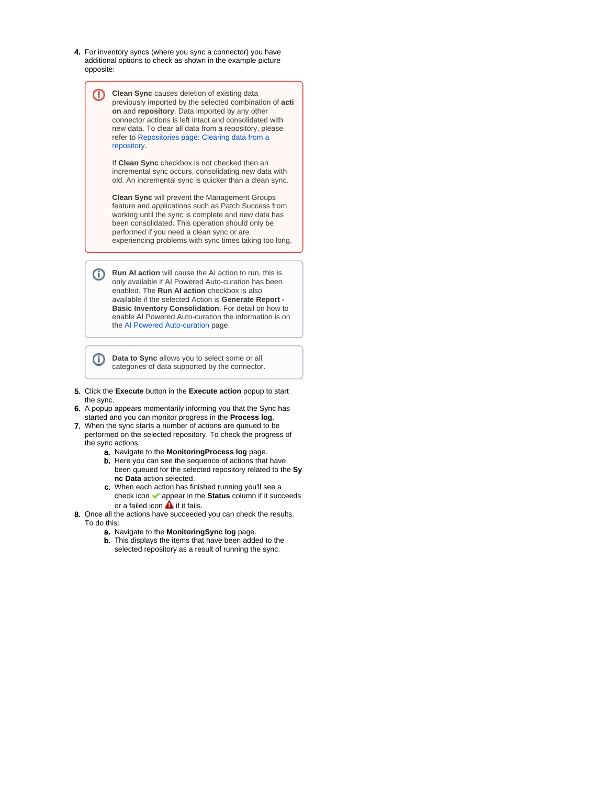4. For inventory syncs (where you sync a connector) you have additional options to check as shown in the example picture opposite:



categories of data supported by the connector.

- 5. Click the **Execute** button in the **Execute action** popup to start the sync.
- 6. A popup appears momentarily informing you that the Sync has started and you can monitor progress in the **Process log**.
- 7. When the sync starts a number of actions are queued to be performed on the selected repository. To check the progress of the sync actions:
	- a. Navigate to the **MonitoringProcess log** page. b. Here you can see the sequence of actions that have been queued for the selected repository related to the **Sy nc Data** action selected.
	- c. When each action has finished running you'll see a check icon appear in the **Status** column if it succeeds or a failed icon  $\triangle$  if it fails.
- 8. Once all the actions have succeeded you can check the results. To do this:
	- a. Navigate to the **MonitoringSync log** page.
	- b. This displays the items that have been added to the selected repository as a result of running the sync.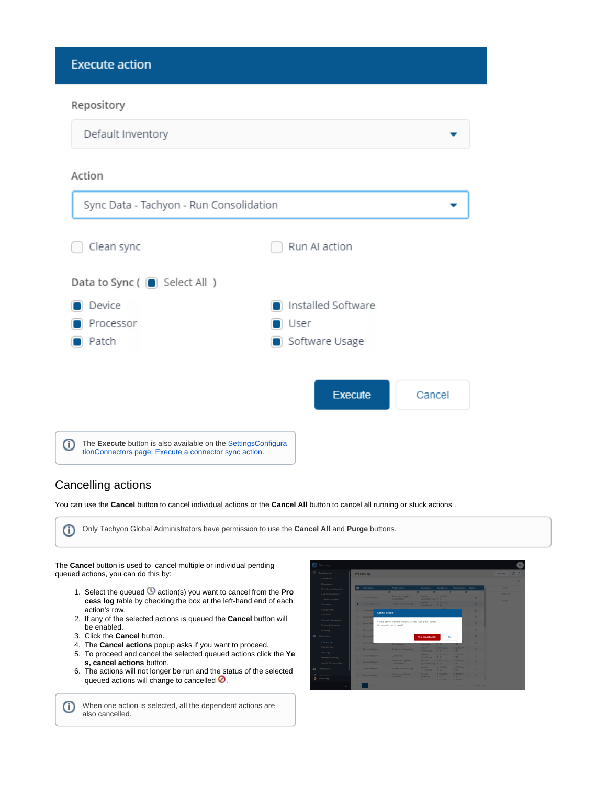**Execute action** 

### Repository

| Default Inventory                                                                                                           |                    |        |
|-----------------------------------------------------------------------------------------------------------------------------|--------------------|--------|
| Action                                                                                                                      |                    |        |
| Sync Data - Tachyon - Run Consolidation                                                                                     |                    |        |
| Clean sync                                                                                                                  | Run AI action      |        |
| Data to Sync $(\Box)$ Select All )                                                                                          |                    |        |
| Device                                                                                                                      | Installed Software |        |
| Processor                                                                                                                   | ∎ User             |        |
| Patch                                                                                                                       | Software Usage     |        |
|                                                                                                                             |                    |        |
|                                                                                                                             | <b>Execute</b>     | Cancel |
| The Execute button is also available on the SettingsConfigura<br>⋒<br>tionConnectors page: Execute a connector sync action. |                    |        |

### Cancelling actions

You can use the **Cancel** button to cancel individual actions or the **Cancel All** button to cancel all running or stuck actions .



When one action is selected, all the dependent actions are O also cancelled.